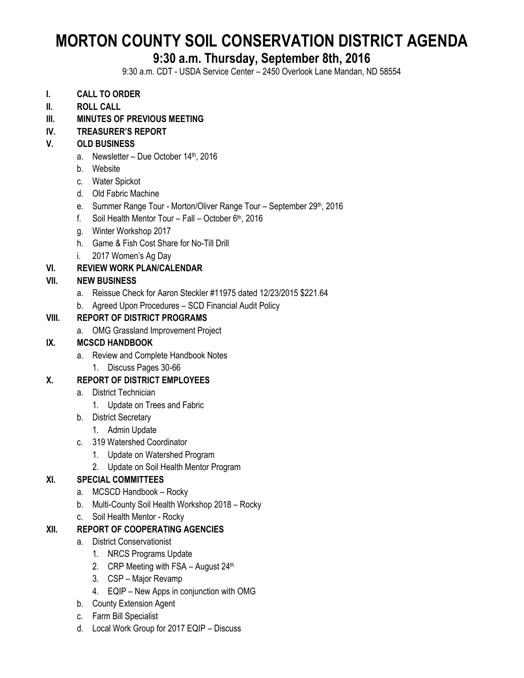# **MORTON COUNTY SOIL CONSERVATION DISTRICT AGENDA**

# **9:30 a.m. Thursday, September 8th, 2016**

9:30 a.m. CDT - USDA Service Center – 2450 Overlook Lane Mandan, ND 58554

- **I. CALL TO ORDER**
- **II. ROLL CALL**
- **III. MINUTES OF PREVIOUS MEETING**

#### **IV. TREASURER'S REPORT**

#### **V. OLD BUSINESS**

- a. Newsletter Due October 14<sup>th</sup>, 2016
- b. Website
- c. Water Spickot
- d. Old Fabric Machine
- e. Summer Range Tour Morton/Oliver Range Tour September 29th, 2016
- f. Soil Health Mentor Tour Fall October  $6<sup>th</sup>$ , 2016
- g. Winter Workshop 2017
- h. Game & Fish Cost Share for No-Till Drill
- i. 2017 Women's Ag Day

#### **VI. REVIEW WORK PLAN/CALENDAR**

#### **VII. NEW BUSINESS**

- a. Reissue Check for Aaron Steckler #11975 dated 12/23/2015 \$221.64
- b. Agreed Upon Procedures SCD Financial Audit Policy

#### **VIII. REPORT OF DISTRICT PROGRAMS**

a. OMG Grassland Improvement Project

#### **IX. MCSCD HANDBOOK**

- a. Review and Complete Handbook Notes
	- 1. Discuss Pages 30-66

#### **X. REPORT OF DISTRICT EMPLOYEES**

- a. District Technician
	- 1. Update on Trees and Fabric
- b. District Secretary
	- 1. Admin Update
- c. 319 Watershed Coordinator
	- 1. Update on Watershed Program
	- 2. Update on Soil Health Mentor Program

#### **XI. SPECIAL COMMITTEES**

- a. MCSCD Handbook Rocky
- b. Multi-County Soil Health Workshop 2018 Rocky
- c. Soil Health Mentor Rocky

#### **XII. REPORT OF COOPERATING AGENCIES**

- a. District Conservationist
	- 1. NRCS Programs Update
	- 2. CRP Meeting with FSA August  $24<sup>th</sup>$
	- 3. CSP Major Revamp
	- 4. EQIP New Apps in conjunction with OMG
- b. County Extension Agent
- c. Farm Bill Specialist
- d. Local Work Group for 2017 EQIP Discuss